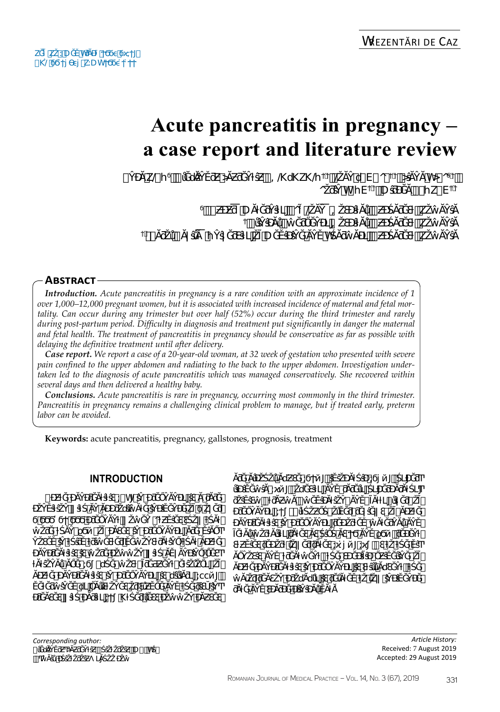# **Acute pancreatitis in pregnancy – a case report and literature review**

|       | $\bullet$ | k∉v       | $\cdot$ |                |                   |   | O #=QN\k\QP@U`V`O-<br>hOo o h'yV U "-yk'V | $\mathcal{A}$ |
|-------|-----------|-----------|---------|----------------|-------------------|---|-------------------------------------------|---------------|
|       |           | $\sim 10$ | U       | $\overline{O}$ | a a shekara<br>`@ | ш |                                           |               |
|       |           |           | .<br>#  |                |                   | ш |                                           |               |
| $#$ ) |           |           |         |                |                   | ш |                                           |               |

### **Abstract**

*Introduction. Acute pancreatitis in pregnancy is a rare condition with an approximate incidence of 1 over 1,000–12,000 pregnant women, but it is associated with increased incidence of maternal and fetal mortality. Can occur during any trimester but over half (52%) occur during the third trimester and rarely during post-partum period. Difficulty in diagnosis and treatment put significantly in danger the maternal and fetal health. The treatment of pancreatitis in pregnancy should be conservative as far as possible with delaying the definitive treatment until after delivery.* 

*Case report. We report a case of a 20-year-old woman, at 32 week of gestation who presented with severe pain confined to the upper abdomen and radiating to the back to the upper abdomen. Investigation undertaken led to the diagnosis of acute pancreatitis which was managed conservatively. She recovered within several days and then delivered a healthy baby.* 

*Conclusions. Acute pancreatitis is rare in pregnancy, occurring most commonly in the third trimester. Pancreatitis in pregnancy remains a challenging clinical problem to manage, but if treated early, preterm labor can be avoided.*

**Keywords:** acute pancreatitis, pregnancy, gallstones, prognosis, treatment

# **Introduction**

 $\bullet$  , we have solved in  $\bullet$  in  $\bullet$  ;  $\bullet$   $\bullet$  ;  $\bullet$   $\bullet$  ;  $\bullet$  ;  $\bullet$  ;  $\bullet$  ;  $\bullet$  ;  $\bullet$  ;  $\bullet$  ;  $\bullet$  ;  $\bullet$  ;  $\bullet$  ;  $\bullet$  ;  $\bullet$  ;  $\bullet$  ;  $\bullet$  ;  $\bullet$  ;  $\bullet$  ;  $\bullet$  ;  $\bullet$  ;  $\bullet$  ;  $\bullet$  ;  $\bullet$  ;  $\bullet$  ;  $\bullet$  ;  $\bullet$ ĎŽÝŠ, ŠvětŠ, ŠvětŠ, ŠvětŠ, ŠvětŠ, ŠvětŠ, ŠvětŠ, ŠvětŠ, ŠvětŠ, ŠvětŠ, ŠvětŠ, ŠvětŠ, ŠvětŠ, ŠvětŠ, ŠvětŠ, ŠvětŠ, Ϭ<mark>ʹϭ</mark>ϬʹϭϤϿʹϘʹϘʹϘʹϘʹϘʹϘʹϘʹϘ ŵŽƌĞ ƚŚĂŶ ϱϬй ŽĨ ĐĂƐĞƐ ŝŶ ƉƌĞŐŶĂŶĐLJ ĂƌĞ ĚŝĂŐͲ Ŷ, Švětočký světočký světočký světočký světočký světočký světočký světočký světočký světočký světočký světočký<br>Vydav ƉĂŶĐƌĞĂƚŝƚŝƐŝƐŵŽƌĞĐŽŵŵŽŶǁŝƚŚĂĚǀĂŶĐŝŶŐŐĞƐͲ ŴĂ, ĜÃ, ĜÃ, Ĝ<mark>ŭ</mark>, Ĉŭ, ĜÃ, ĜÃ, Ĝ, Ĝ, Ĝ, Ĝ, Ĝ, Ĝ, Ĝ ĂĐƵƚĞ ƉĂŶĐƌĞĂƚŝƚŝƐ ŝŶ ƉƌĞŐŶĂŶĐLJ ŝƐ ďŝůŝĂƌLJ ;ϲϲйͿ͕ ĚĞ, ĐƌĞĂƐĞƐǁŝƚŚƉĂƌŝƚLJ;ϮͿ͘KƚŚĞƌůĞƐƐĐŽŵŵŽŶĐĂƵƐĞƐ

ĂƌĞĂůĐŽŚŽůĂďƵƐĞ;ϭϮйͿ͕ŝĚŝŽƉĂƚŚŝĐ;ϭϳйͿ͕ŚLJƉĞƌͲ ůŝƉŝĚĞŵŝĂ ;ϰйͿ͕ ŽďĞƐŝƚLJ ĂŶĚ ƌĂƌĞůLJ ŚLJƉĞƌƉĂƌĂƚŚLJͲ video vertika de la transformación de la transformación de la transformación de la transformación de la transformación de la transformación de la transformación de la transformación de la transformación de la transformaci ƉƌĞŐŶĂŶĐLJ ;ϯͿ͘ ůƚŚŽƵŐŚ ŽůĚĞƌ ƌĞǀŝĞǁƐ ŽĨ ĂĐƵƚĞ ƉĂŶĐƌĞĂƚŝƚŝƐ ŝŶ ƉƌĞŐŶĂŶĐLJ ƌĞƉŽƌƚĞĚŵĂƚĞƌŶĂůĂŶĚ ĨĞƚĂůŵŽƌƚĂůŝƚLJƌĂƚĞƐĂƐŚŝŐŚĂƐϮϬĂŶĚϱϬй͕ƌĞĐĞŶƚ ƐƚƵĚŝĞƐƌĞƉŽƌƚůŽǁĞƌƌĂƚĞƐ;ϰ͘ϳйͿ;ϰͿ͘ƐƚŽƚŚĞĚŝͲ ĂŐŶŽƐŝƐ ĂŶĚ ƚƌĞĂƚŵĞŶƚ͕ ƚŚĞ ƐƉĞĐŝĨŝĐ ŐƵŝĚĞůŝŶĞ ŽĨ  $\lambda$ Ĝ ŵĂũŽƌƌĞĂƐŽŶƉƌŽďĂďůLJŝƐƌĞůĂƚĞĚƚŽůŽǁŝŶĐŝĚĞŶĐĞ ƌĂƚĞĂŶĚƐĐĂƌĐĞĐůŝŶŝĐĂůĚĂƚĂ͘

*Corresponding author:*   $\#$  U) h) ™ξ<br>D<br>D

*Article History:* Received: 7 August 2019 Accepted: 29 August 2019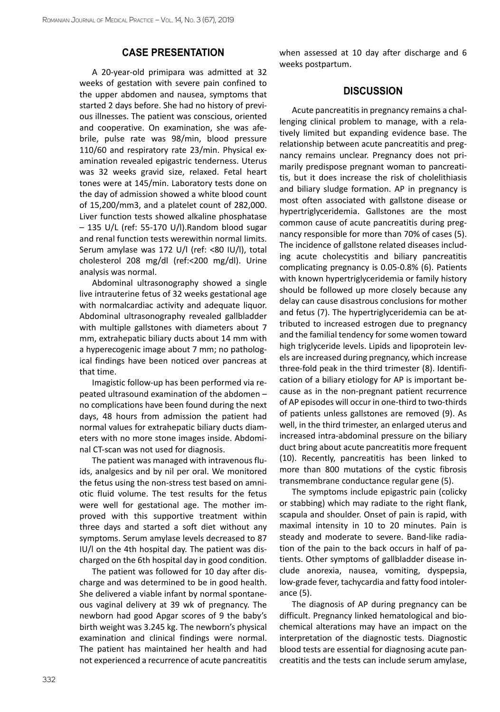#### **Case presentation**

A 20-year-old primipara was admitted at 32 weeks of gestation with severe pain confined to the upper abdomen and nausea, symptoms that started 2 days before. She had no history of previous illnesses. The patient was conscious, oriented and cooperative. On examination, she was afebrile, pulse rate was 98/min, blood pressure 110/60 and respiratory rate 23/min. Physical examination revealed epigastric tenderness. Uterus was 32 weeks gravid size, relaxed. Fetal heart tones were at 145/min. Laboratory tests done on the day of admission showed a white blood count of 15,200/mm3, and a platelet count of 282,000. Liver function tests showed alkaline phosphatase – 135 U/L (ref: 55-170 U/l).Random blood sugar and renal function tests werewithin normal limits. Serum amylase was 172 U/l (ref: <80 IU/l), total cholesterol 208 mg/dl (ref:<200 mg/dl). Urine analysis was normal.

Abdominal ultrasonography showed a single live intrauterine fetus of 32 weeks gestational age with normalcardiac activity and adequate liquor. Abdominal ultrasonography revealed gallbladder with multiple gallstones with diameters about 7 mm, extrahepatic biliary ducts about 14 mm with a hyperecogenic image about 7 mm; no pathological findings have been noticed over pancreas at that time.

Imagistic follow-up has been performed via repeated ultrasound examination of the abdomen – no complications have been found during the next days, 48 hours from admission the patient had normal values for extrahepatic biliary ducts diameters with no more stone images inside. Abdominal CT-scan was not used for diagnosis.

The patient was managed with intravenous fluids, analgesics and by nil per oral. We monitored the fetus using the non-stress test based on amniotic fluid volume. The test results for the fetus were well for gestational age. The mother improved with this supportive treatment within three days and started a soft diet without any symptoms. Serum amylase levels decreased to 87 IU/l on the 4th hospital day. The patient was discharged on the 6th hospital day in good condition.

The patient was followed for 10 day after discharge and was determined to be in good health. She delivered a viable infant by normal spontaneous vaginal delivery at 39 wk of pregnancy. The newborn had good Apgar scores of 9 the baby's birth weight was 3.245 kg. The newborn's physical examination and clinical findings were normal. The patient has maintained her health and had not experienced a recurrence of acute pancreatitis

when assessed at 10 day after discharge and 6 weeks postpartum.

#### **Discussion**

Acute pancreatitis in pregnancy remains a challenging clinical problem to manage, with a relatively limited but expanding evidence base. The relationship between acute pancreatitis and pregnancy remains unclear. Pregnancy does not primarily predispose pregnant woman to pancreatitis, but it does increase the risk of cholelithiasis and biliary sludge formation. AP in pregnancy is most often associated with gallstone disease or hypertriglyceridemia. Gallstones are the most common cause of acute pancreatitis during pregnancy responsible for more than 70% of cases (5). The incidence of gallstone related diseases including acute cholecystitis and biliary pancreatitis complicating pregnancy is 0.05-0.8% (6). Patients with known hypertriglyceridemia or family history should be followed up more closely because any delay can cause disastrous conclusions for mother and fetus (7). The hypertriglyceridemia can be attributed to increased estrogen due to pregnancy and the familial tendency for some women toward high triglyceride levels. Lipids and lipoprotein levels are increased during pregnancy, which increase three-fold peak in the third trimester (8). Identification of a biliary etiology for AP is important because as in the non-pregnant patient recurrence of AP episodes will occur in one-third to two-thirds of patients unless gallstones are removed (9). As well, in the third trimester, an enlarged uterus and increased intra-abdominal pressure on the biliary duct bring about acute pancreatitis more frequent (10). Recently, pancreatitis has been linked to more than 800 mutations of the cystic fibrosis transmembrane conductance regular gene (5).

The symptoms include epigastric pain (colicky or stabbing) which may radiate to the right flank, scapula and shoulder. Onset of pain is rapid, with maximal intensity in 10 to 20 minutes. Pain is steady and moderate to severe. Band-like radiation of the pain to the back occurs in half of patients. Other symptoms of gallbladder disease include anorexia, nausea, vomiting, dyspepsia, low-grade fever, tachycardia and fatty food intolerance (5).

The diagnosis of AP during pregnancy can be difficult. Pregnancy linked hematological and biochemical alterations may have an impact on the interpretation of the diagnostic tests. Diagnostic blood tests are essential for diagnosing acute pancreatitis and the tests can include serum amylase,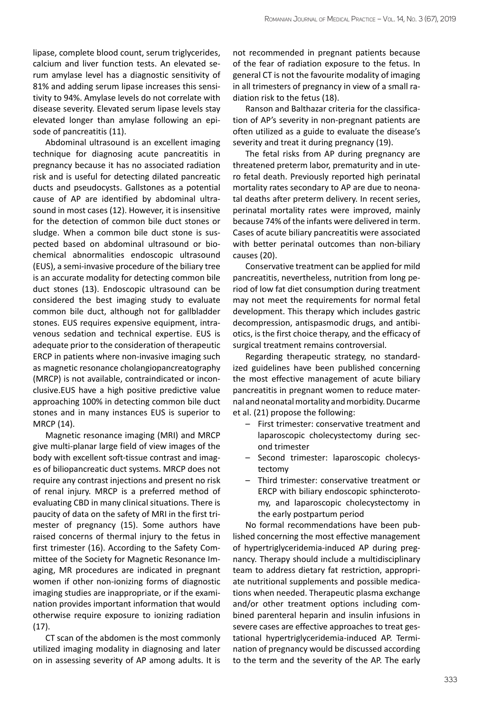lipase, complete blood count, serum triglycerides, calcium and liver function tests. An elevated serum amylase level has a diagnostic sensitivity of 81% and adding serum lipase increases this sensitivity to 94%. Amylase levels do not correlate with disease severity. Elevated serum lipase levels stay elevated longer than amylase following an episode of pancreatitis (11).

Abdominal ultrasound is an excellent imaging technique for diagnosing acute pancreatitis in pregnancy because it has no associated radiation risk and is useful for detecting dilated pancreatic ducts and pseudocysts. Gallstones as a potential cause of AP are identified by abdominal ultrasound in most cases (12). However, it is insensitive for the detection of common bile duct stones or sludge. When a common bile duct stone is suspected based on abdominal ultrasound or biochemical abnormalities endoscopic ultrasound (EUS), a semi-invasive procedure of the biliary tree is an accurate modality for detecting common bile duct stones (13). Endoscopic ultrasound can be considered the best imaging study to evaluate common bile duct, although not for gallbladder stones. EUS requires expensive equipment, intravenous sedation and technical expertise. EUS is adequate prior to the consideration of therapeutic ERCP in patients where non-invasive imaging such as magnetic resonance cholangiopancreatography (MRCP) is not available, contraindicated or inconclusive.EUS have a high positive predictive value approaching 100% in detecting common bile duct stones and in many instances EUS is superior to MRCP (14).

Magnetic resonance imaging (MRI) and MRCP give multi-planar large field of view images of the body with excellent soft-tissue contrast and images of biliopancreatic duct systems. MRCP does not require any contrast injections and present no risk of renal injury. MRCP is a preferred method of evaluating CBD in many clinical situations. There is paucity of data on the safety of MRI in the first trimester of pregnancy (15). Some authors have raised concerns of thermal injury to the fetus in first trimester (16). According to the Safety Committee of the Society for Magnetic Resonance Imaging, MR procedures are indicated in pregnant women if other non-ionizing forms of diagnostic imaging studies are inappropriate, or if the examination provides important information that would otherwise require exposure to ionizing radiation (17).

CT scan of the abdomen is the most commonly utilized imaging modality in diagnosing and later on in assessing severity of AP among adults. It is

not recommended in pregnant patients because of the fear of radiation exposure to the fetus. In general CT is not the favourite modality of imaging in all trimesters of pregnancy in view of a small radiation risk to the fetus (18).

Ranson and Balthazar criteria for the classification of AP's severity in non-pregnant patients are often utilized as a guide to evaluate the disease's severity and treat it during pregnancy (19).

The fetal risks from AP during pregnancy are threatened preterm labor, prematurity and in utero fetal death. Previously reported high perinatal mortality rates secondary to AP are due to neonatal deaths after preterm delivery. In recent series, perinatal mortality rates were improved, mainly because 74% of the infants were delivered in term. Cases of acute biliary pancreatitis were associated with better perinatal outcomes than non-biliary causes (20).

Conservative treatment can be applied for mild pancreatitis, nevertheless, nutrition from long period of low fat diet consumption during treatment may not meet the requirements for normal fetal development. This therapy which includes gastric decompression, antispasmodic drugs, and antibiotics, is the first choice therapy, and the efficacy of surgical treatment remains controversial.

Regarding therapeutic strategy, no standardized guidelines have been published concerning the most effective management of acute biliary pancreatitis in pregnant women to reduce maternal and neonatal mortality and morbidity. Ducarme et al. (21) propose the following:

- First trimester: conservative treatment and laparoscopic cholecystectomy during second trimester
- Second trimester: laparoscopic cholecystectomy
- Third trimester: conservative treatment or ERCP with biliary endoscopic sphincterotomy, and laparoscopic cholecystectomy in the early postpartum period

No formal recommendations have been published concerning the most effective management of hypertriglyceridemia-induced AP during pregnancy. Therapy should include a multidisciplinary team to address dietary fat restriction, appropriate nutritional supplements and possible medications when needed. Therapeutic plasma exchange and/or other treatment options including combined parenteral heparin and insulin infusions in severe cases are effective approaches to treat gestational hypertriglyceridemia-induced AP. Termination of pregnancy would be discussed according to the term and the severity of the AP. The early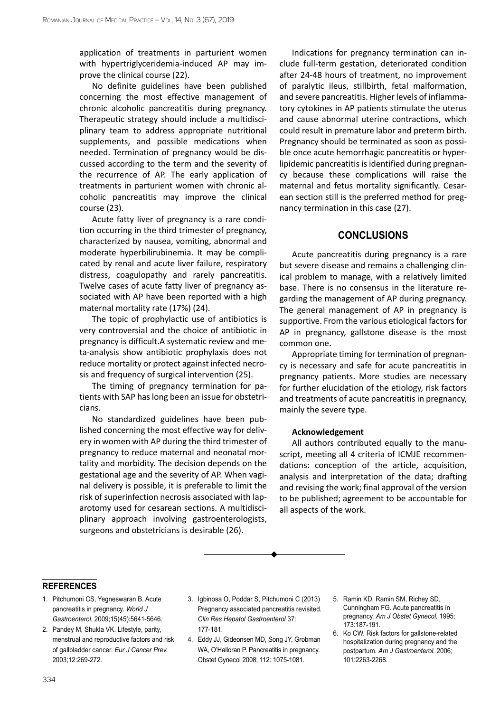application of treatments in parturient women with hypertriglyceridemia-induced AP may improve the clinical course (22).

No definite guidelines have been published concerning the most effective management of chronic alcoholic pancreatitis during pregnancy. Therapeutic strategy should include a multidisciplinary team to address appropriate nutritional supplements, and possible medications when needed. Termination of pregnancy would be discussed according to the term and the severity of the recurrence of AP. The early application of treatments in parturient women with chronic alcoholic pancreatitis may improve the clinical course (23).

Acute fatty liver of pregnancy is a rare condition occurring in the third trimester of pregnancy, characterized by nausea, vomiting, abnormal and moderate hyperbilirubinemia. It may be complicated by renal and acute liver failure, respiratory distress, coagulopathy and rarely pancreatitis. Twelve cases of acute fatty liver of pregnancy associated with AP have been reported with a high maternal mortality rate (17%) (24).

The topic of prophylactic use of antibiotics is very controversial and the choice of antibiotic in pregnancy is difficult.A systematic review and meta-analysis show antibiotic prophylaxis does not reduce mortality or protect against infected necrosis and frequency of surgical intervention (25).

The timing of pregnancy termination for patients with SAP has long been an issue for obstetricians.

No standardized guidelines have been published concerning the most effective way for delivery in women with AP during the third trimester of pregnancy to reduce maternal and neonatal mortality and morbidity. The decision depends on the gestational age and the severity of AP. When vaginal delivery is possible, it is preferable to limit the risk of superinfection necrosis associated with laparotomy used for cesarean sections. A multidisciplinary approach involving gastroenterologists, surgeons and obstetricians is desirable (26).

Indications for pregnancy termination can include full-term gestation, deteriorated condition after 24-48 hours of treatment, no improvement of paralytic ileus, stillbirth, fetal malformation, and severe pancreatitis. Higher levels of inflammatory cytokines in AP patients stimulate the uterus and cause abnormal uterine contractions, which could result in premature labor and preterm birth. Pregnancy should be terminated as soon as possible once acute hemorrhagic pancreatitis or hyperlipidemic pancreatitis is identified during pregnancy because these complications will raise the maternal and fetus mortality significantly. Cesarean section still is the preferred method for pregnancy termination in this case (27).

## **Conclusions**

Acute pancreatitis during pregnancy is a rare but severe disease and remains a challenging clinical problem to manage, with a relatively limited base. There is no consensus in the literature regarding the management of AP during pregnancy. The general management of AP in pregnancy is supportive. From the various etiological factors for AP in pregnancy, gallstone disease is the most common one.

Appropriate timing for termination of pregnancy is necessary and safe for acute pancreatitis in pregnancy patients. More studies are necessary for further elucidation of the etiology, risk factors and treatments of acute pancreatitis in pregnancy, mainly the severe type.

#### **Acknowledgement**

All authors contributed equally to the manuscript, meeting all 4 criteria of ICMJE recommendations: conception of the article, acquisition, analysis and interpretation of the data; drafting and revising the work; final approval of the version to be published; agreement to be accountable for all aspects of the work.

#### **references**

- 1. Pitchumoni CS, Yegneswaran B. Acute pancreatitis in pregnancy. *World J Gastroenterol.* 2009;15(45):5641-5646.
- 2. Pandey M, Shukla VK. Lifestyle, parity, menstrual and reproductive factors and risk of gallbladder cancer. *Eur J Cancer Prev.* 2003;12:269-272.
- 3. Igbinosa O, Poddar S, Pitchumoni C (2013) Pregnancy associated pancreatitis revisited. *Clin Res Hepatol Gastroenterol* 37: 177-181.
- 4. Eddy JJ, Gideonsen MD, Song JY, Grobman WA, O'Halloran P. Pancreatitis in pregnancy. Obstet Gynecol 2008; 112: 1075-1081.
- 5. Ramin KD, Ramin SM, Richey SD, Cunningham FG. Acute pancreatitis in pregnancy. *Am J Obstet Gynecol.* 1995; 173:187-191.
- 6. Ko CW. Risk factors for gallstone-related hospitalization during pregnancy and the postpartum. *Am J Gastroenterol.* 2006; 101:2263-2268.